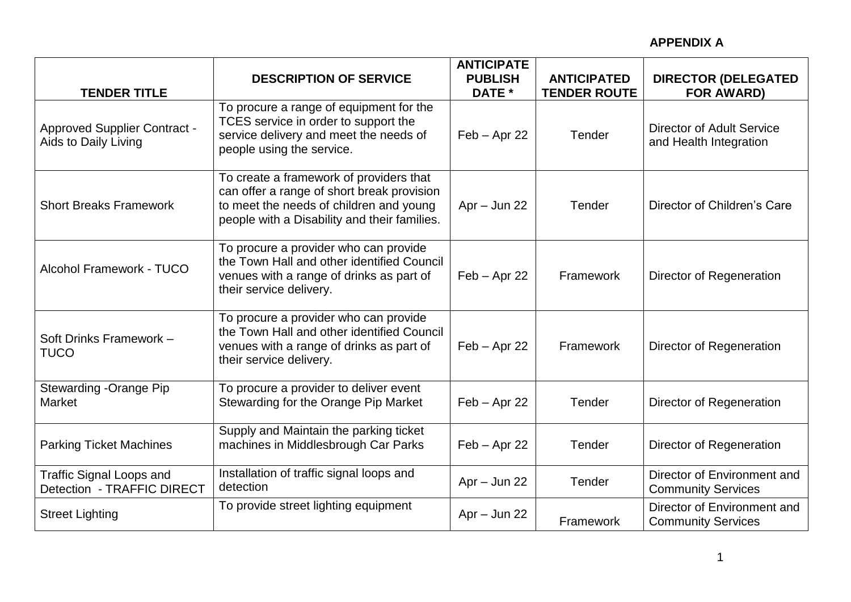|                                                               | <b>DESCRIPTION OF SERVICE</b>                                                                                                                                                    | <b>ANTICIPATE</b><br><b>PUBLISH</b> | <b>ANTICIPATED</b>  | <b>DIRECTOR (DELEGATED</b>                                 |
|---------------------------------------------------------------|----------------------------------------------------------------------------------------------------------------------------------------------------------------------------------|-------------------------------------|---------------------|------------------------------------------------------------|
| <b>TENDER TITLE</b>                                           |                                                                                                                                                                                  | DATE *                              | <b>TENDER ROUTE</b> | <b>FOR AWARD)</b>                                          |
| <b>Approved Supplier Contract -</b><br>Aids to Daily Living   | To procure a range of equipment for the<br>TCES service in order to support the<br>service delivery and meet the needs of<br>people using the service.                           | $Feb - Apr 22$                      | Tender              | <b>Director of Adult Service</b><br>and Health Integration |
| <b>Short Breaks Framework</b>                                 | To create a framework of providers that<br>can offer a range of short break provision<br>to meet the needs of children and young<br>people with a Disability and their families. | $Apr - Jun 22$                      | Tender              | Director of Children's Care                                |
| Alcohol Framework - TUCO                                      | To procure a provider who can provide<br>the Town Hall and other identified Council<br>venues with a range of drinks as part of<br>their service delivery.                       | $Feb - Apr 22$                      | Framework           | Director of Regeneration                                   |
| Soft Drinks Framework -<br><b>TUCO</b>                        | To procure a provider who can provide<br>the Town Hall and other identified Council<br>venues with a range of drinks as part of<br>their service delivery.                       | $Feb - Apr 22$                      | Framework           | Director of Regeneration                                   |
| Stewarding -Orange Pip<br>Market                              | To procure a provider to deliver event<br>Stewarding for the Orange Pip Market                                                                                                   | $Feb - Apr 22$                      | Tender              | Director of Regeneration                                   |
| <b>Parking Ticket Machines</b>                                | Supply and Maintain the parking ticket<br>machines in Middlesbrough Car Parks                                                                                                    | $Feb - Apr 22$                      | Tender              | Director of Regeneration                                   |
| <b>Traffic Signal Loops and</b><br>Detection - TRAFFIC DIRECT | Installation of traffic signal loops and<br>detection                                                                                                                            | $Apr - Jun 22$                      | Tender              | Director of Environment and<br><b>Community Services</b>   |
| <b>Street Lighting</b>                                        | To provide street lighting equipment                                                                                                                                             | $Apr - Jun 22$                      | Framework           | Director of Environment and<br><b>Community Services</b>   |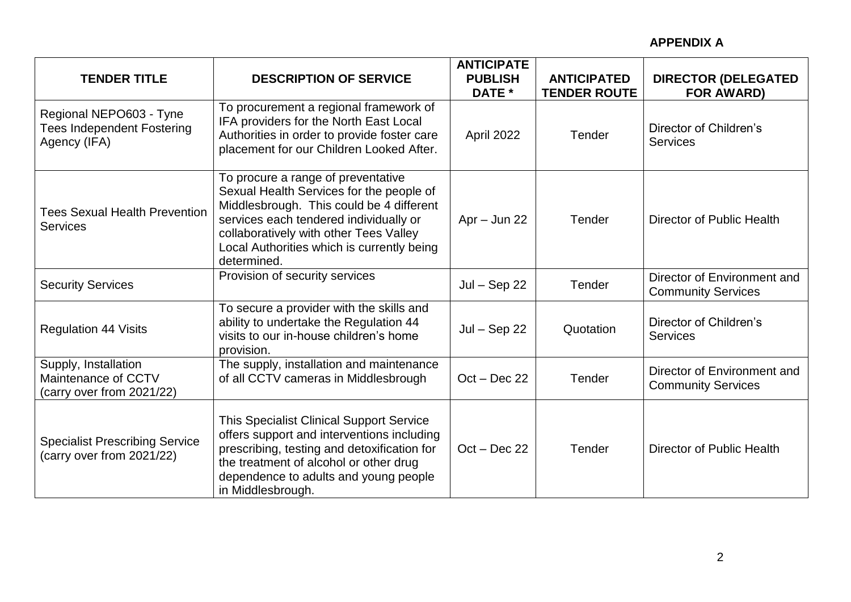| <b>TENDER TITLE</b>                                                          | <b>DESCRIPTION OF SERVICE</b>                                                                                                                                                                                                                                               | <b>ANTICIPATE</b><br><b>PUBLISH</b><br>DATE * | <b>ANTICIPATED</b><br><b>TENDER ROUTE</b> | <b>DIRECTOR (DELEGATED</b><br><b>FOR AWARD)</b>          |
|------------------------------------------------------------------------------|-----------------------------------------------------------------------------------------------------------------------------------------------------------------------------------------------------------------------------------------------------------------------------|-----------------------------------------------|-------------------------------------------|----------------------------------------------------------|
| Regional NEPO603 - Tyne<br><b>Tees Independent Fostering</b><br>Agency (IFA) | To procurement a regional framework of<br>IFA providers for the North East Local<br>Authorities in order to provide foster care<br>placement for our Children Looked After.                                                                                                 | April 2022                                    | Tender                                    | Director of Children's<br><b>Services</b>                |
| <b>Tees Sexual Health Prevention</b><br><b>Services</b>                      | To procure a range of preventative<br>Sexual Health Services for the people of<br>Middlesbrough. This could be 4 different<br>services each tendered individually or<br>collaboratively with other Tees Valley<br>Local Authorities which is currently being<br>determined. | $Apr - Jun 22$                                | Tender                                    | Director of Public Health                                |
| <b>Security Services</b>                                                     | Provision of security services                                                                                                                                                                                                                                              | $Jul - Sep 22$                                | Tender                                    | Director of Environment and<br><b>Community Services</b> |
| <b>Regulation 44 Visits</b>                                                  | To secure a provider with the skills and<br>ability to undertake the Regulation 44<br>visits to our in-house children's home<br>provision.                                                                                                                                  | $Jul - Sep22$                                 | Quotation                                 | Director of Children's<br><b>Services</b>                |
| Supply, Installation<br>Maintenance of CCTV<br>(carry over from 2021/22)     | The supply, installation and maintenance<br>of all CCTV cameras in Middlesbrough                                                                                                                                                                                            | $Oct - Dec 22$                                | Tender                                    | Director of Environment and<br><b>Community Services</b> |
| <b>Specialist Prescribing Service</b><br>(carry over from 2021/22)           | This Specialist Clinical Support Service<br>offers support and interventions including<br>prescribing, testing and detoxification for<br>the treatment of alcohol or other drug<br>dependence to adults and young people<br>in Middlesbrough.                               | $Oct - Dec 22$                                | Tender                                    | Director of Public Health                                |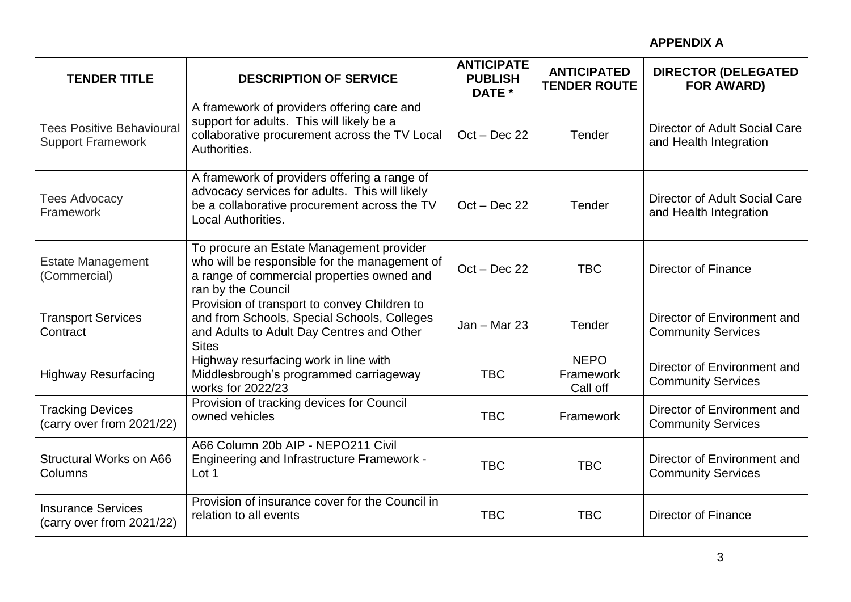| <b>TENDER TITLE</b>                                         | <b>DESCRIPTION OF SERVICE</b>                                                                                                                                        | <b>ANTICIPATE</b><br><b>PUBLISH</b><br>DATE * | <b>ANTICIPATED</b><br><b>TENDER ROUTE</b> | <b>DIRECTOR (DELEGATED</b><br><b>FOR AWARD)</b>          |
|-------------------------------------------------------------|----------------------------------------------------------------------------------------------------------------------------------------------------------------------|-----------------------------------------------|-------------------------------------------|----------------------------------------------------------|
| <b>Tees Positive Behavioura</b><br><b>Support Framework</b> | A framework of providers offering care and<br>support for adults. This will likely be a<br>collaborative procurement across the TV Local<br>Authorities.             | $Oct - Dec 22$                                | Tender                                    | Director of Adult Social Care<br>and Health Integration  |
| <b>Tees Advocacy</b><br>Framework                           | A framework of providers offering a range of<br>advocacy services for adults. This will likely<br>be a collaborative procurement across the TV<br>Local Authorities. | $Oct - Dec 22$                                | Tender                                    | Director of Adult Social Care<br>and Health Integration  |
| <b>Estate Management</b><br>(Commercial)                    | To procure an Estate Management provider<br>who will be responsible for the management of<br>a range of commercial properties owned and<br>ran by the Council        | $Oct - Dec 22$                                | <b>TBC</b>                                | <b>Director of Finance</b>                               |
| <b>Transport Services</b><br>Contract                       | Provision of transport to convey Children to<br>and from Schools, Special Schools, Colleges<br>and Adults to Adult Day Centres and Other<br><b>Sites</b>             | $Jan - Mar 23$                                | Tender                                    | Director of Environment and<br><b>Community Services</b> |
| <b>Highway Resurfacing</b>                                  | Highway resurfacing work in line with<br>Middlesbrough's programmed carriageway<br>works for 2022/23                                                                 | <b>TBC</b>                                    | <b>NEPO</b><br>Framework<br>Call off      | Director of Environment and<br><b>Community Services</b> |
| <b>Tracking Devices</b><br>(carry over from 2021/22)        | Provision of tracking devices for Council<br>owned vehicles                                                                                                          | <b>TBC</b>                                    | Framework                                 | Director of Environment and<br><b>Community Services</b> |
| Structural Works on A66<br>Columns                          | A66 Column 20b AIP - NEPO211 Civil<br><b>Engineering and Infrastructure Framework -</b><br>Lot 1                                                                     | <b>TBC</b>                                    | <b>TBC</b>                                | Director of Environment and<br><b>Community Services</b> |
| <b>Insurance Services</b><br>(carry over from 2021/22)      | Provision of insurance cover for the Council in<br>relation to all events                                                                                            | <b>TBC</b>                                    | <b>TBC</b>                                | <b>Director of Finance</b>                               |